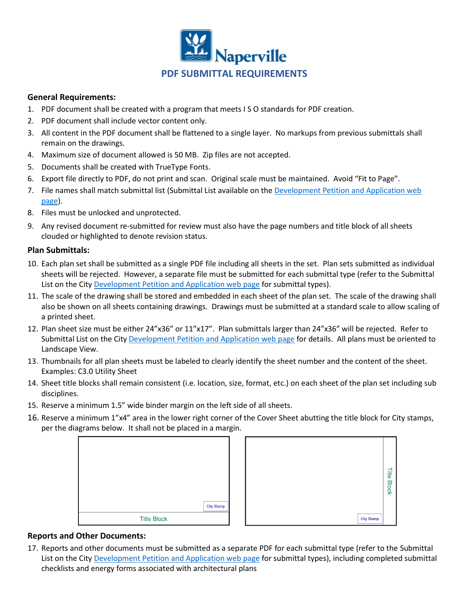

## **General Requirements:**

- 1. PDF document shall be created with a program that meets I S O standards for PDF creation.
- 2. PDF document shall include vector content only.
- 3. All content in the PDF document shall be flattened to a single layer. No markups from previous submittals shall remain on the drawings.
- 4. Maximum size of document allowed is 50 MB. Zip files are not accepted.
- 5. Documents shall be created with TrueType Fonts.
- 6. Export file directly to PDF, do not print and scan. Original scale must be maintained. Avoid "Fit to Page".
- 7. File names shall match submittal list (Submittal List available on the [Development Petition and Application web](https://www.naperville.il.us/services/permits--licenses/development-petition-and-application/)  [page\)](https://www.naperville.il.us/services/permits--licenses/development-petition-and-application/).
- 8. Files must be unlocked and unprotected.
- 9. Any revised document re-submitted for review must also have the page numbers and title block of all sheets clouded or highlighted to denote revision status.

## **Plan Submittals:**

- 10. Each plan set shall be submitted as a single PDF file including all sheets in the set. Plan sets submitted as individual sheets will be rejected. However, a separate file must be submitted for each submittal type (refer to the Submittal List on the City [Development Petition and Application web page](https://www.naperville.il.us/services/permits--licenses/development-petition-and-application/) for submittal types).
- 11. The scale of the drawing shall be stored and embedded in each sheet of the plan set. The scale of the drawing shall also be shown on all sheets containing drawings. Drawings must be submitted at a standard scale to allow scaling of a printed sheet.
- 12. Plan sheet size must be either 24"x36" or 11"x17". Plan submittals larger than 24"x36" will be rejected. Refer to Submittal List on the City [Development Petition and Application web page](https://www.naperville.il.us/services/permits--licenses/development-petition-and-application/) for details. All plans must be oriented to Landscape View.
- 13. Thumbnails for all plan sheets must be labeled to clearly identify the sheet number and the content of the sheet. Examples: C3.0 Utility Sheet
- 14. Sheet title blocks shall remain consistent (i.e. location, size, format, etc.) on each sheet of the plan set including sub disciplines.
- 15. Reserve a minimum 1.5" wide binder margin on the left side of all sheets.
- 16. Reserve a minimum 1"x4" area in the lower right corner of the Cover Sheet abutting the title block for City stamps, per the diagrams below. It shall not be placed in a margin.





## **Reports and Other Documents:**

17. Reports and other documents must be submitted as a separate PDF for each submittal type (refer to the Submittal List on the City [Development Petition and Application web page](https://www.naperville.il.us/services/permits--licenses/development-petition-and-application/) for submittal types), including completed submittal checklists and energy forms associated with architectural plans